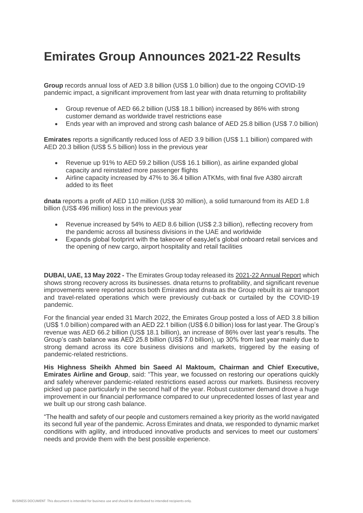## **Emirates Group Announces 2021-22 Results**

**Group** records annual loss of AED 3.8 billion (US\$ 1.0 billion) due to the ongoing COVID-19 pandemic impact, a significant improvement from last year with dnata returning to profitability

- Group revenue of AED 66.2 billion (US\$ 18.1 billion) increased by 86% with strong customer demand as worldwide travel restrictions ease
- Ends year with an improved and strong cash balance of AED 25.8 billion (US\$ 7.0 billion)

**Emirates** reports a significantly reduced loss of AED 3.9 billion (US\$ 1.1 billion) compared with AED 20.3 billion (US\$ 5.5 billion) loss in the previous year

- Revenue up 91% to AED 59.2 billion (US\$ 16.1 billion), as airline expanded global capacity and reinstated more passenger flights
- Airline capacity increased by 47% to 36.4 billion ATKMs, with final five A380 aircraft added to its fleet

**dnata** reports a profit of AED 110 million (US\$ 30 million), a solid turnaround from its AED 1.8 billion (US\$ 496 million) loss in the previous year

- Revenue increased by 54% to AED 8.6 billion (US\$ 2.3 billion), reflecting recovery from the pandemic across all business divisions in the UAE and worldwide
- Expands global footprint with the takeover of easyJet's global onboard retail services and the opening of new cargo, airport hospitality and retail facilities

**DUBAI, UAE, 13 May 2022 -** The Emirates Group today released its [2021-22 Annual Report](https://c.ekstatic.net/ecl/documents/annual-report/2021-2022.pdf) which shows strong recovery across its businesses. dnata returns to profitability, and significant revenue improvements were reported across both Emirates and dnata as the Group rebuilt its air transport and travel-related operations which were previously cut-back or curtailed by the COVID-19 pandemic.

For the financial year ended 31 March 2022, the Emirates Group posted a loss of AED 3.8 billion (US\$ 1.0 billion) compared with an AED 22.1 billion (US\$ 6.0 billion) loss for last year. The Group's revenue was AED 66.2 billion (US\$ 18.1 billion), an increase of 86% over last year's results. The Group's cash balance was AED 25.8 billion (US\$ 7.0 billion), up 30% from last year mainly due to strong demand across its core business divisions and markets, triggered by the easing of pandemic-related restrictions.

**His Highness Sheikh Ahmed bin Saeed Al Maktoum, Chairman and Chief Executive, Emirates Airline and Group**, said: "This year, we focussed on restoring our operations quickly and safely wherever pandemic-related restrictions eased across our markets. Business recovery picked up pace particularly in the second half of the year. Robust customer demand drove a huge improvement in our financial performance compared to our unprecedented losses of last year and we built up our strong cash balance.

"The health and safety of our people and customers remained a key priority as the world navigated its second full year of the pandemic. Across Emirates and dnata, we responded to dynamic market conditions with agility, and introduced innovative products and services to meet our customers' needs and provide them with the best possible experience.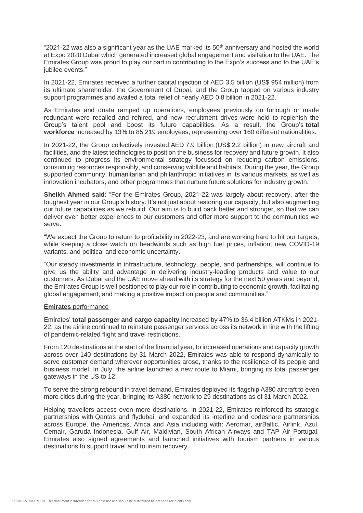"2021-22 was also a significant year as the UAE marked its 50<sup>th</sup> anniversary and hosted the world at Expo 2020 Dubai which generated increased global engagement and visitation to the UAE. The Emirates Group was proud to play our part in contributing to the Expo's success and to the UAE's jubilee events."

In 2021-22, Emirates received a further capital injection of AED 3.5 billion (US\$ 954 million) from its ultimate shareholder, the Government of Dubai, and the Group tapped on various industry support programmes and availed a total relief of nearly AED 0.8 billion in 2021-22.

As Emirates and dnata ramped up operations, employees previously on furlough or made redundant were recalled and rehired, and new recruitment drives were held to replenish the Group's talent pool and boost its future capabilities. As a result, the Group's **total workforce** increased by 13% to 85,219 employees, representing over 160 different nationalities.

In 2021-22, the Group collectively invested AED 7.9 billion (US\$ 2.2 billion) in new aircraft and facilities, and the latest technologies to position the business for recovery and future growth. It also continued to progress its environmental strategy focussed on reducing carbon emissions, consuming resources responsibly, and conserving wildlife and habitats. During the year, the Group supported community, humanitarian and philanthropic initiatives in its various markets, as well as innovation incubators, and other programmes that nurture future solutions for industry growth.

**Sheikh Ahmed said**: "For the Emirates Group, 2021-22 was largely about recovery, after the toughest year in our Group's history. It's not just about restoring our capacity, but also augmenting our future capabilities as we rebuild. Our aim is to build back better and stronger, so that we can deliver even better experiences to our customers and offer more support to the communities we serve.

"We expect the Group to return to profitability in 2022-23, and are working hard to hit our targets, while keeping a close watch on headwinds such as high fuel prices, inflation, new COVID-19 variants, and political and economic uncertainty.

"Our steady investments in infrastructure, technology, people, and partnerships, will continue to give us the ability and advantage in delivering industry-leading products and value to our customers. As Dubai and the UAE move ahead with its strategy for the next 50 years and beyond, the Emirates Group is well positioned to play our role in contributing to economic growth, facilitating global engagement, and making a positive impact on people and communities."

## **[Emirates](http://www.emirates.com/)** performance

Emirates' **total passenger and cargo capacity** increased by 47% to 36.4 billion ATKMs in 2021- 22, as the airline continued to reinstate passenger services across its network in line with the lifting of pandemic-related flight and travel restrictions.

From 120 destinations at the start of the financial year, to increased operations and capacity growth across over 140 destinations by 31 March 2022, Emirates was able to respond dynamically to serve customer demand wherever opportunities arose, thanks to the resilience of its people and business model. In July, the airline launched a new route to Miami, bringing its total passenger gateways in the US to 12.

To serve the strong rebound in travel demand, Emirates deployed its flagship A380 aircraft to even more cities during the year, bringing its A380 network to 29 destinations as of 31 March 2022.

Helping travellers access even more destinations, in 2021-22, Emirates reinforced its strategic partnerships with Qantas and flydubai, and expanded its interline and codeshare partnerships across Europe, the Americas, Africa and Asia including with: Aeromar, airBaltic, Airlink, Azul, Cemair, Garuda Indonesia, Gulf Air, Maldivian, South African Airways and TAP Air Portugal. Emirates also signed agreements and launched initiatives with tourism partners in various destinations to support travel and tourism recovery.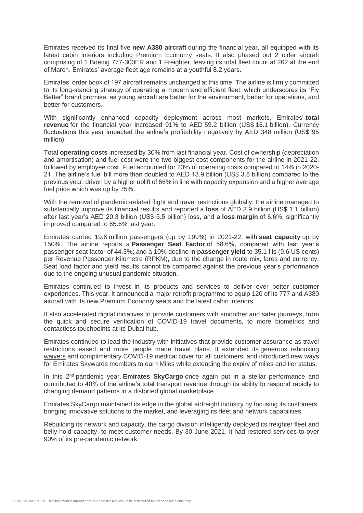Emirates received its final five **new A380 aircraft** during the financial year, all equipped with its latest cabin interiors including Premium Economy seats. It also phased out 2 older aircraft comprising of 1 Boeing 777-300ER and 1 Freighter, leaving its total fleet count at 262 at the end of March. Emirates' average fleet age remains at a youthful 8.2 years.

Emirates' order book of 197 aircraft remains unchanged at this time. The airline is firmly committed to its long-standing strategy of operating a modern and efficient fleet, which underscores its "Fly Better" brand promise, as young aircraft are better for the environment, better for operations, and better for customers.

With significantly enhanced capacity deployment across most markets, Emirates' **total revenue** for the financial year increased 91% to AED 59.2 billion (US\$ 16.1 billion). Currency fluctuations this year impacted the airline's profitability negatively by AED 348 million (US\$ 95 million).

Total **operating costs** increased by 30% from last financial year. Cost of ownership (depreciation and amortisation) and fuel cost were the two biggest cost components for the airline in 2021-22, followed by employee cost. Fuel accounted for 23% of operating costs compared to 14% in 2020- 21. The airline's fuel bill more than doubled to AED 13.9 billion (US\$ 3.8 billion) compared to the previous year, driven by a higher uplift of 66% in line with capacity expansion and a higher average fuel price which was up by 75%.

With the removal of pandemic-related flight and travel restrictions globally, the airline managed to substantially improve its financial results and reported a **loss** of AED 3.9 billion (US\$ 1.1 billion) after last year's AED 20.3 billion (US\$ 5.5 billion) loss, and a **loss margin** of 6.6%, significantly improved compared to 65.6% last year.

Emirates carried 19.6 million passengers (up by 199%) in 2021-22, with **seat capacity** up by 150%. The airline reports a **Passenger Seat Factor** of 58.6%, compared with last year's passenger seat factor of 44.3%; and a 10% decline in **passenger yield** to 35.1 fils (9.6 US cents) per Revenue Passenger Kilometre (RPKM), due to the change in route mix, fares and currency. Seat load factor and yield results cannot be compared against the previous year's performance due to the ongoing unusual pandemic situation.

Emirates continued to invest in its products and services to deliver ever better customer experiences. This year, it announced a [major retrofit programme](https://www.emirates.com/media-centre/emirates-announces-major-retrofit-programme-105-aircraft-to-provide-best-in-sky-customer-experiences/) to equip 120 of its 777 and A380 aircraft with its new Premium Economy seats and the latest cabin interiors.

It also accelerated digital initiatives to provide customers with smoother and safer journeys, from the quick and secure verification of COVID-19 travel documents, to more biometrics and contactless touchpoints at its Dubai hub.

Emirates continued to lead the industry with initiatives that provide customer assurance as travel restrictions eased and more people made travel plans. It extended its [generous rebooking](https://www.emirates.com/media-centre/emirates-lives-up-to-its-customer-experience-promise-helping-over-2-million-customers-take-more-control-over-their-travel-plans/#:~:text=11%3A03%20AM-,Emirates%20lives%20up%20to%20its%20customer%20experience%20promise%20helping%20over,control%20over%20their%20travel%20plans&text=Since%20March%202020%2C%20the%20airline,be%20utilised%20for%20future%20travel.)  [waivers](https://www.emirates.com/media-centre/emirates-lives-up-to-its-customer-experience-promise-helping-over-2-million-customers-take-more-control-over-their-travel-plans/#:~:text=11%3A03%20AM-,Emirates%20lives%20up%20to%20its%20customer%20experience%20promise%20helping%20over,control%20over%20their%20travel%20plans&text=Since%20March%202020%2C%20the%20airline,be%20utilised%20for%20future%20travel.) and complimentary COVID-19 medical cover for all customers; and introduced new ways for Emirates Skywards members to earn Miles while extending the expiry of miles and tier status.

In this 2nd pandemic year, **Emirates SkyCargo** once again put in a stellar performance and contributed to 40% of the airline's total transport revenue through its ability to respond rapidly to changing demand patterns in a distorted global marketplace.

Emirates SkyCargo maintained its edge in the global airfreight industry by focusing its customers, bringing innovative solutions to the market, and leveraging its fleet and network capabilities.

Rebuilding its network and capacity, the cargo division intelligently deployed its freighter fleet and belly-hold capacity, to meet customer needs. By 30 June 2021, it had restored services to over 90% of its pre-pandemic network.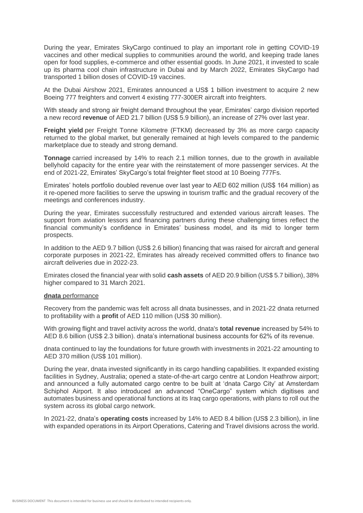During the year, Emirates SkyCargo continued to play an important role in getting COVID-19 vaccines and other medical supplies to communities around the world, and keeping trade lanes open for food supplies, e-commerce and other essential goods. In June 2021, it invested to scale up its pharma cool chain infrastructure in Dubai and by March 2022, Emirates SkyCargo had transported 1 billion doses of COVID-19 vaccines.

At the Dubai Airshow 2021, Emirates announced a US\$ 1 billion investment to acquire 2 new Boeing 777 freighters and convert 4 existing 777-300ER aircraft into freighters.

With steady and strong air freight demand throughout the year, Emirates' cargo division reported a new record **revenue** of AED 21.7 billion (US\$ 5.9 billion), an increase of 27% over last year.

**Freight yield** per Freight Tonne Kilometre (FTKM) decreased by 3% as more cargo capacity returned to the global market, but generally remained at high levels compared to the pandemic marketplace due to steady and strong demand.

**Tonnage** carried increased by 14% to reach 2.1 million tonnes, due to the growth in available bellyhold capacity for the entire year with the reinstatement of more passenger services. At the end of 2021-22, Emirates' SkyCargo's total freighter fleet stood at 10 Boeing 777Fs.

Emirates' hotels portfolio doubled revenue over last year to AED 602 million (US\$ 164 million) as it re-opened more facilities to serve the upswing in tourism traffic and the gradual recovery of the meetings and conferences industry.

During the year, Emirates successfully restructured and extended various aircraft leases. The support from aviation lessors and financing partners during these challenging times reflect the financial community's confidence in Emirates' business model, and its mid to longer term prospects.

In addition to the AED 9.7 billion (US\$ 2.6 billion) financing that was raised for aircraft and general corporate purposes in 2021-22, Emirates has already received committed offers to finance two aircraft deliveries due in 2022-23.

Emirates closed the financial year with solid **cash assets** of AED 20.9 billion (US\$ 5.7 billion), 38% higher compared to 31 March 2021.

## **dnata** performance

Recovery from the pandemic was felt across all dnata businesses, and in 2021-22 dnata returned to profitability with a **profit** of AED 110 million (US\$ 30 million).

With growing flight and travel activity across the world, dnata's **total revenue** increased by 54% to AED 8.6 billion (US\$ 2.3 billion). dnata's international business accounts for 62% of its revenue.

dnata continued to lay the foundations for future growth with investments in 2021-22 amounting to AED 370 million (US\$ 101 million).

During the year, dnata invested significantly in its cargo handling capabilities. It expanded existing facilities in Sydney, Australia; opened a state-of-the-art cargo centre at London Heathrow airport; and announced a fully automated cargo centre to be built at 'dnata Cargo City' at Amsterdam Schiphol Airport. It also introduced an advanced "OneCargo" system which digitises and automates business and operational functions at its Iraq cargo operations, with plans to roll out the system across its global cargo network.

In 2021-22, dnata's **operating costs** increased by 14% to AED 8.4 billion (US\$ 2.3 billion), in line with expanded operations in its Airport Operations, Catering and Travel divisions across the world.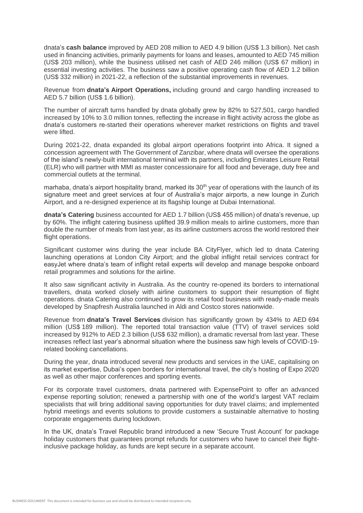dnata's **cash balance** improved by AED 208 million to AED 4.9 billion (US\$ 1.3 billion). Net cash used in financing activities, primarily payments for loans and leases, amounted to AED 745 million (US\$ 203 million), while the business utilised net cash of AED 246 million (US\$ 67 million) in essential investing activities. The business saw a positive operating cash flow of AED 1.2 billion (US\$ 332 million) in 2021-22, a reflection of the substantial improvements in revenues.

Revenue from **dnata's Airport Operations,** including ground and cargo handling increased to AED 5.7 billion (US\$ 1.6 billion).

The number of aircraft turns handled by dnata globally grew by 82% to 527,501, cargo handled increased by 10% to 3.0 million tonnes, reflecting the increase in flight activity across the globe as dnata's customers re-started their operations wherever market restrictions on flights and travel were lifted.

During 2021-22, dnata expanded its global airport operations footprint into Africa. It signed a concession agreement with The Government of Zanzibar, where dnata will oversee the operations of the island's newly-built international terminal with its partners, including Emirates Leisure Retail (ELR) who will partner with MMI as master concessionaire for all food and beverage, duty free and commercial outlets at the terminal.

marhaba, dnata's airport hospitality brand, marked its 30<sup>th</sup> year of operations with the launch of its signature meet and greet services at four of Australia's major airports, a new lounge in Zurich Airport, and a re-designed experience at its flagship lounge at Dubai International.

**dnata's Catering** business accounted for AED 1.7 billion (US\$ 455 million) of dnata's revenue, up by 60%. The inflight catering business uplifted 39.9 million meals to airline customers, more than double the number of meals from last year, as its airline customers across the world restored their flight operations.

Significant customer wins during the year include BA CityFlyer, which led to dnata Catering launching operations at London City Airport; and the global inflight retail services contract for easyJet where dnata's team of inflight retail experts will develop and manage bespoke onboard retail programmes and solutions for the airline.

It also saw significant activity in Australia. As the country re-opened its borders to international travellers, dnata worked closely with airline customers to support their resumption of flight operations. dnata Catering also continued to grow its retail food business with ready-made meals developed by Snapfresh Australia launched in Aldi and Costco stores nationwide.

Revenue from **dnata's Travel Services** division has significantly grown by 434% to AED 694 million (US\$ 189 million). The reported total transaction value (TTV) of travel services sold increased by 912% to AED 2.3 billion (US\$ 632 million), a dramatic reversal from last year. These increases reflect last year's abnormal situation where the business saw high levels of COVID-19 related booking cancellations.

During the year, dnata introduced several new products and services in the UAE, capitalising on its market expertise, Dubai's open borders for international travel, the city's hosting of Expo 2020 as well as other major conferences and sporting events.

For its corporate travel customers, dnata partnered with ExpensePoint to offer an advanced expense reporting solution; renewed a partnership with one of the world's largest VAT reclaim specialists that will bring additional saving opportunities for duty travel claims; and implemented hybrid meetings and events solutions to provide customers a sustainable alternative to hosting corporate engagements during lockdown.

In the UK, dnata's Travel Republic brand introduced a new 'Secure Trust Account' for package holiday customers that guarantees prompt refunds for customers who have to cancel their flightinclusive package holiday, as funds are kept secure in a separate account.